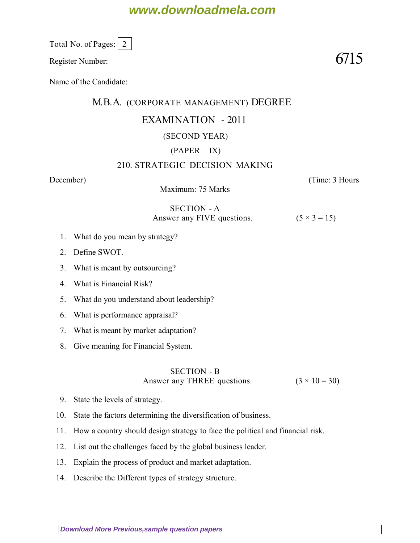# **www.downloadmela.com**

Total No. of Pages:  $\vert 2 \vert$ 

Register Number:  $6715$ 

Name of the Candidate:

### M.B.A. (CORPORATE MANAGEMENT) DEGREE

## EXAMINATION - 2011

#### (SECOND YEAR)

### $(PAPER - IX)$

#### 210. STRATEGIC DECISION MAKING

*December*) (*Time: 3 Hours*

Maximum: 75 Marks

## SECTION - A Answer any FIVE questions.  $(5 \times 3 = 15)$

- 1. What do you mean by strategy?
- 2. Define SWOT.
- 3. What is meant by outsourcing?
- 4. What is Financial Risk?
- 5. What do you understand about leadership?
- 6. What is performance appraisal?
- 7. What is meant by market adaptation?
- 8. Give meaning for Financial System.

#### SECTION - B Answer any THREE questions.  $(3 \times 10 = 30)$

- 9. State the levels of strategy.
- 10. State the factors determining the diversification of business.
- 11. How a country should design strategy to face the political and financial risk.
- 12. List out the challenges faced by the global business leader.
- 13. Explain the process of product and market adaptation.
- 14. Describe the Different types of strategy structure.

**[Download More Previous,sample question papers](http://downloadmela.com/pages/previouspapers/previouspapers.html)**